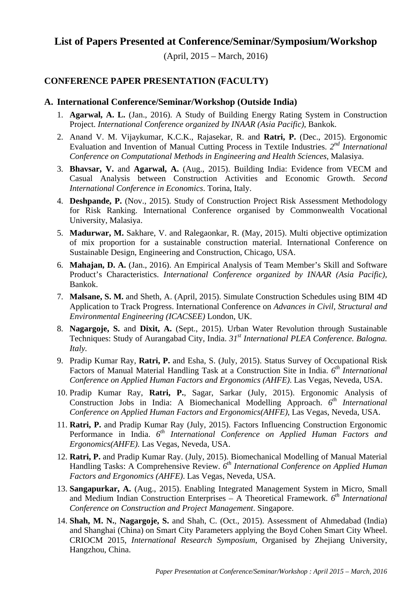# **List of Papers Presented at Conference/Seminar/Symposium/Workshop**

(April, 2015 – March, 2016)

## **CONFERENCE PAPER PRESENTATION (FACULTY)**

#### **A. International Conference/Seminar/Workshop (Outside India)**

- 1. **Agarwal, A. L.** (Jan., 2016). A Study of Building Energy Rating System in Construction Project. *International Conference organized by INAAR (Asia Pacific)*, Bankok.
- 2. Anand V. M. Vijaykumar, K.C.K., Rajasekar, R. and **Ratri, P.** (Dec., 2015). Ergonomic Evaluation and Invention of Manual Cutting Process in Textile Industries. *2nd International Conference on Computational Methods in Engineering and Health Sciences*, Malasiya.
- 3. **Bhavsar, V.** and **Agarwal, A.** (Aug., 2015). Building India: Evidence from VECM and Casual Analysis between Construction Activities and Economic Growth. *Second International Conference in Economics*. Torina, Italy.
- 4. **Deshpande, P.** (Nov., 2015). Study of Construction Project Risk Assessment Methodology for Risk Ranking. International Conference organised by Commonwealth Vocational University, Malasiya.
- 5. **Madurwar, M.** Sakhare, V. and Ralegaonkar, R. (May, 2015). Multi objective optimization of mix proportion for a sustainable construction material. International Conference on Sustainable Design, Engineering and Construction, Chicago, USA.
- 6. **Mahajan, D. A.** (Jan., 2016). An Empirical Analysis of Team Member's Skill and Software Product's Characteristics. *International Conference organized by INAAR (Asia Pacific)*, Bankok.
- 7. **Malsane, S. M.** and Sheth, A. (April, 2015). Simulate Construction Schedules using BIM 4D Application to Track Progress. International Conference on *Advances in Civil, Structural and Environmental Engineering (ICACSEE)* London, UK.
- 8. **Nagargoje, S.** and **Dixit, A.** (Sept., 2015). Urban Water Revolution through Sustainable Techniques: Study of Aurangabad City, India. *31st International PLEA Conference. Balogna. Italy.*
- 9. Pradip Kumar Ray, **Ratri, P.** and Esha, S. (July, 2015). Status Survey of Occupational Risk Factors of Manual Material Handling Task at a Construction Site in India. *6th International Conference on Applied Human Factors and Ergonomics (AHFE)*. Las Vegas, Neveda, USA.
- 10. Pradip Kumar Ray, **Ratri, P.**, Sagar, Sarkar (July, 2015). Ergonomic Analysis of Construction Jobs in India: A Biomechanical Modelling Approach.  $6<sup>th</sup> International$ *Conference on Applied Human Factors and Ergonomics(AHFE)*, Las Vegas, Neveda, USA.
- 11. **Ratri, P.** and Pradip Kumar Ray (July, 2015). Factors Influencing Construction Ergonomic Performance in India.  $6^{th}$  International Conference on Applied Human Factors and *Ergonomics(AHFE)*. Las Vegas, Neveda, USA.
- 12. **Ratri, P.** and Pradip Kumar Ray. (July, 2015). Biomechanical Modelling of Manual Material Handling Tasks: A Comprehensive Review. *6th International Conference on Applied Human Factors and Ergonomics (AHFE)*. Las Vegas, Neveda, USA.
- 13. **Sangapurkar, A.** (Aug., 2015). Enabling Integrated Management System in Micro, Small and Medium Indian Construction Enterprises – A Theoretical Framework. *6th International Conference on Construction and Project Management*. Singapore.
- 14. **Shah, M. N.**, **Nagargoje, S.** and Shah, C. (Oct., 2015). Assessment of Ahmedabad (India) and Shanghai (China) on Smart City Parameters applying the Boyd Cohen Smart City Wheel. CRIOCM 2015, *International Research Symposium*, Organised by Zhejiang University, Hangzhou, China.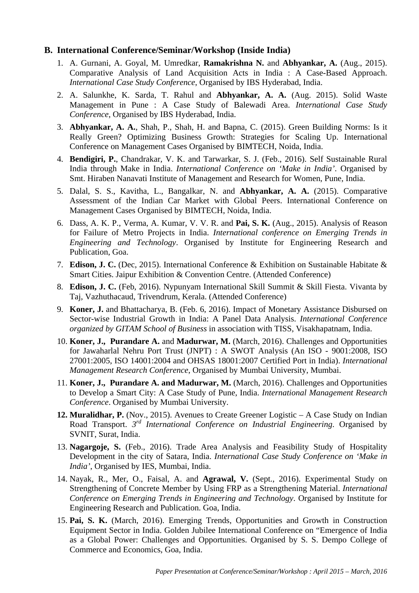### **B. International Conference/Seminar/Workshop (Inside India)**

- 1. A. Gurnani, A. Goyal, M. Umredkar, **Ramakrishna N.** and **Abhyankar, A.** (Aug., 2015). Comparative Analysis of Land Acquisition Acts in India : A Case-Based Approach. *International Case Study Conference*, Organised by IBS Hyderabad, India.
- 2. A. Salunkhe, K. Sarda, T. Rahul and **Abhyankar, A. A.** (Aug. 2015). Solid Waste Management in Pune : A Case Study of Balewadi Area. *International Case Study Conference*, Organised by IBS Hyderabad, India.
- 3. **Abhyankar, A. A.**, Shah, P., Shah, H. and Bapna, C. (2015). Green Building Norms: Is it Really Green? Optimizing Business Growth: Strategies for Scaling Up. International Conference on Management Cases Organised by BIMTECH, Noida, India.
- 4. **Bendigiri, P.**, Chandrakar, V. K. and Tarwarkar, S. J. (Feb., 2016). Self Sustainable Rural India through Make in India. *International Conference on 'Make in India'*. Organised by Smt. Hiraben Nanavati Institute of Management and Research for Women, Pune, India.
- 5. Dalal, S. S., Kavitha, L., Bangalkar, N. and **Abhyankar, A. A.** (2015). Comparative Assessment of the Indian Car Market with Global Peers. International Conference on Management Cases Organised by BIMTECH, Noida, India.
- 6. Dass, A. K. P., Verma, A. Kumar, V. V. R. and **Pai, S. K.** (Aug., 2015). Analysis of Reason for Failure of Metro Projects in India. *International conference on Emerging Trends in Engineering and Technology*. Organised by Institute for Engineering Research and Publication, Goa.
- 7. **Edison, J. C.** (Dec, 2015). International Conference & Exhibition on Sustainable Habitate & Smart Cities. Jaipur Exhibition & Convention Centre. (Attended Conference)
- 8. **Edison, J. C.** (Feb, 2016). Nypunyam International Skill Summit & Skill Fiesta. Vivanta by Taj, Vazhuthacaud, Trivendrum, Kerala. (Attended Conference)
- 9. **Koner, J.** and Bhattacharya, B. (Feb. 6, 2016). Impact of Monetary Assistance Disbursed on Sector-wise Industrial Growth in India: A Panel Data Analysis. *International Conference organized by GITAM School of Business* in association with TISS, Visakhapatnam, India.
- 10. **Koner, J., Purandare A.** and **Madurwar, M.** (March, 2016). Challenges and Opportunities for Jawaharlal Nehru Port Trust (JNPT) : A SWOT Analysis (An ISO - 9001:2008, ISO 27001:2005, ISO 14001:2004 and OHSAS 18001:2007 Certified Port in India). *International Management Research Conference*, Organised by Mumbai University, Mumbai.
- 11. **Koner, J., Purandare A. and Madurwar, M.** (March, 2016). Challenges and Opportunities to Develop a Smart City: A Case Study of Pune, India. *International Management Research Conference*. Organised by Mumbai University.
- **12. Muralidhar, P.** (Nov., 2015). Avenues to Create Greener Logistic A Case Study on Indian Road Transport. *3rd International Conference on Industrial Engineering*. Organised by SVNIT, Surat, India.
- 13. **Nagargoje, S.** (Feb., 2016). Trade Area Analysis and Feasibility Study of Hospitality Development in the city of Satara, India. *International Case Study Conference on 'Make in India'*, Organised by IES, Mumbai, India.
- 14. Nayak, R., Mer, O., Faisal, A. and **Agrawal, V.** (Sept., 2016). Experimental Study on Strengthening of Concrete Member by Using FRP as a Strengthening Material. *International Conference on Emerging Trends in Engineering and Technology*. Organised by Institute for Engineering Research and Publication. Goa, India.
- 15. **Pai, S. K.** (March, 2016). Emerging Trends, Opportunities and Growth in Construction Equipment Sector in India. Golden Jubilee International Conference on "Emergence of India as a Global Power: Challenges and Opportunities. Organised by S. S. Dempo College of Commerce and Economics, Goa, India.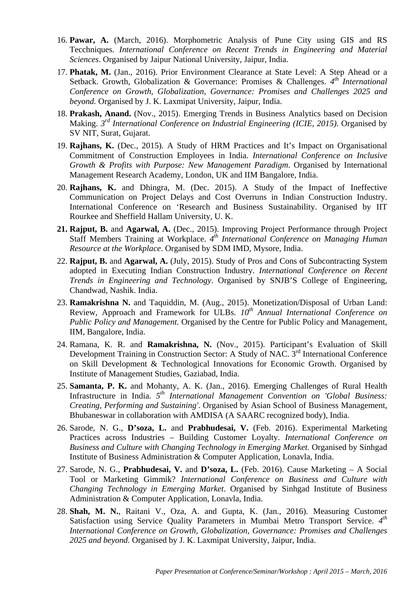- 16. **Pawar, A.** (March, 2016). Morphometric Analysis of Pune City using GIS and RS Tecchniques. *International Conference on Recent Trends in Engineering and Material Sciences*. Organised by Jaipur National University, Jaipur, India.
- 17. **Phatak, M.** (Jan., 2016). Prior Environment Clearance at State Level: A Step Ahead or a Setback. Growth, Globalization & Governance: Promises & Challenges. *4th International Conference on Growth, Globalization, Governance: Promises and Challenges 2025 and beyond.* Organised by J. K. Laxmipat University, Jaipur, India.
- 18. **Prakash, Anand.** (Nov., 2015). Emerging Trends in Business Analytics based on Decision Making. *3rd International Conference on Industrial Engineering (ICIE, 2015)*. Organised by SV NIT, Surat, Gujarat.
- 19. **Rajhans, K.** (Dec., 2015). A Study of HRM Practices and It's Impact on Organisational Commitment of Construction Employees in India. *International Conference on Inclusive Growth & Profits with Purpose: New Management Paradigm*. Organised by International Management Research Academy, London, UK and IIM Bangalore, India.
- 20. **Rajhans, K.** and Dhingra, M. (Dec. 2015). A Study of the Impact of Ineffective Communication on Project Delays and Cost Overruns in Indian Construction Industry. International Conference on 'Research and Business Sustainability. Organised by IIT Rourkee and Sheffield Hallam University, U. K.
- **21. Rajput, B.** and **Agarwal, A.** (Dec., 2015). Improving Project Performance through Project Staff Members Training at Workplace. *4th International Conference on Managing Human Resource at the Workplace*. Organised by SDM IMD, Mysore, India.
- 22. **Rajput, B.** and **Agarwal, A.** (July, 2015). Study of Pros and Cons of Subcontracting System adopted in Executing Indian Construction Industry. *International Conference on Recent Trends in Engineering and Technology*. Organised by SNJB'S College of Engineering, Chandwad, Nashik. India.
- 23. **Ramakrishna N.** and Taquiddin, M. (Aug., 2015). Monetization/Disposal of Urban Land: Review, Approach and Framework for ULBs.  $10^{th}$  Annual International Conference on *Public Policy and Management.* Organised by the Centre for Public Policy and Management, IIM, Bangalore, India.
- 24. Ramana, K. R. and **Ramakrishna, N.** (Nov., 2015). Participant's Evaluation of Skill Development Training in Construction Sector: A Study of NAC. 3<sup>rd</sup> International Conference on Skill Development & Technological Innovations for Economic Growth. Organised by Institute of Management Studies, Gaziabad, India.
- 25. **Samanta, P. K.** and Mohanty, A. K. (Jan., 2016). Emerging Challenges of Rural Health Infrastructure in India. *5th International Management Convention on 'Global Business: Creating, Performing and Sustaining'*. Organised by Asian School of Business Management, Bhubaneswar in collaboration with AMDISA (A SAARC recognized body), India.
- 26. Sarode, N. G., **D'soza, L.** and **Prabhudesai, V.** (Feb. 2016). Experimental Marketing Practices across Industries – Building Customer Loyalty. *International Conference on Business and Culture with Changing Technology in Emerging Market.* Organised by Sinhgad Institute of Business Administration & Computer Application, Lonavla, India.
- 27. Sarode, N. G., **Prabhudesai, V.** and **D'soza, L.** (Feb. 2016). Cause Marketing A Social Tool or Marketing Gimmik? *International Conference on Business and Culture with Changing Technology in Emerging Market*. Organised by Sinhgad Institute of Business Administration & Computer Application, Lonavla, India.
- 28. **Shah, M. N.**, Raitani V., Oza, A. and Gupta, K. (Jan., 2016). Measuring Customer Satisfaction using Service Quality Parameters in Mumbai Metro Transport Service. *4th International Conference on Growth, Globalization, Governance: Promises and Challenges 2025 and beyond.* Organised by J. K. Laxmipat University, Jaipur, India.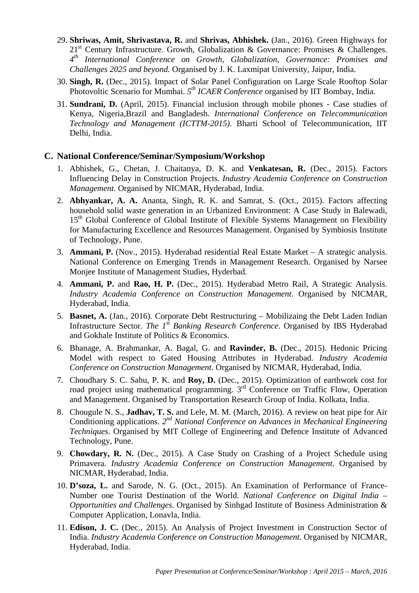- 29. **Shriwas, Amit, Shrivastava, R.** and **Shrivas, Abhishek.** (Jan., 2016). Green Highways for  $21<sup>st</sup>$  Century Infrastructure. Growth, Globalization & Governance: Promises & Challenges. *4th International Conference on Growth, Globalization, Governance: Promises and Challenges 2025 and beyond.* Organised by J. K. Laxmipat University, Jaipur, India.
- 30. **Singh, R.** (Dec., 2015). Impact of Solar Panel Configuration on Large Scale Rooftop Solar Photovoltic Scenario for Mumbai. 5<sup>th</sup> ICAER Conference organised by IIT Bombay, India.
- 31. **Sundrani, D.** (April, 2015). Financial inclusion through mobile phones Case studies of Kenya, Nigeria,Brazil and Bangladesh. *International Conference on Telecommunication Technology and Management (ICTTM-2015)*. Bharti School of Telecommunication, IIT Delhi, India.

### **C. National Conference/Seminar/Symposium/Workshop**

- 1. Abhishek, G., Chetan, J. Chaitanya, D. K. and **Venkatesan, R.** (Dec., 2015). Factors Influencing Delay in Construction Projects. *Industry Academia Conference on Construction Management*. Organised by NICMAR, Hyderabad, India.
- 2. **Abhyankar, A. A.** Ananta, Singh, R. K. and Samrat, S. (Oct., 2015). Factors affecting household solid waste generation in an Urbanized Environment: A Case Study in Balewadi, 15<sup>th</sup> Global Conference of Global Institute of Flexible Systems Management on Flexibility for Manufacturing Excellence and Resources Management. Organised by Symbiosis Institute of Technology, Pune.
- 3. **Ammani, P.** (Nov., 2015). Hyderabad residential Real Estate Market A strategic analysis. National Conference on Emerging Trends in Management Research. Organised by Narsee Monjee Institute of Management Studies, Hyderbad.
- 4. **Ammani, P.** and **Rao, H. P.** (Dec., 2015). Hyderabad Metro Rail, A Strategic Analysis. *Industry Academia Conference on Construction Management*. Organised by NICMAR, Hyderabad, India.
- 5. **Basnet, A.** (Jan., 2016). Corporate Debt Restructuring Mobilizaing the Debt Laden Indian Infrastructure Sector. *The 1<sup>st</sup> Banking Research Conference*. Organised by IBS Hyderabad and Gokhale Institute of Politics & Economics.
- 6. Bhanage, A. Brahmankar, A. Bagal, G. and **Ravinder, B.** (Dec., 2015). Hedonic Pricing Model with respect to Gated Housing Attributes in Hyderabad. *Industry Academia Conference on Construction Management*. Organised by NICMAR, Hyderabad, India.
- 7. Choudhary S. C. Sahu, P. K. and **Roy, D.** (Dec., 2015). Optimization of earthwork cost for road project using mathematical programming.  $3<sup>rd</sup>$  Conference on Traffic Flow, Operation and Management. Organised by Transportation Research Group of India. Kolkata, India.
- 8. Chougule N. S., **Jadhav, T. S.** and Lele, M. M. (March, 2016). A review on heat pipe for Air Conditioning applications. *2nd National Conference on Advances in Mechanical Engineering Techniques*. Organised by MIT College of Engineering and Defence Institute of Advanced Technology, Pune.
- 9. **Chowdary, R. N.** (Dec., 2015). A Case Study on Crashing of a Project Schedule using Primavera. *Industry Academia Conference on Construction Management*. Organised by NICMAR, Hyderabad, India.
- 10. **D'soza, L.** and Sarode, N. G. (Oct., 2015). An Examination of Performance of France-Number one Tourist Destination of the World. *National Conference on Digital India – Opportunities and Challenges*. Organised by Sinhgad Institute of Business Administration & Computer Application, Lonavla, India.
- 11. **Edison, J. C.** (Dec., 2015). An Analysis of Project Investment in Construction Sector of India. *Industry Academia Conference on Construction Management*. Organised by NICMAR, Hyderabad, India.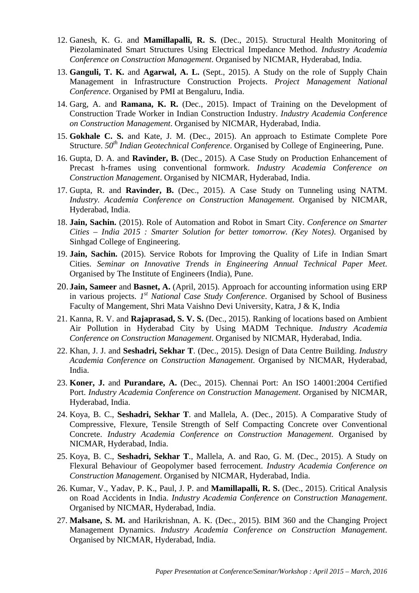- 12. Ganesh, K. G. and **Mamillapalli, R. S.** (Dec., 2015). Structural Health Monitoring of Piezolaminated Smart Structures Using Electrical Impedance Method. *Industry Academia Conference on Construction Management*. Organised by NICMAR, Hyderabad, India.
- 13. **Ganguli, T. K.** and **Agarwal, A. L.** (Sept., 2015). A Study on the role of Supply Chain Management in Infrastructure Construction Projects. *Project Management National Conference*. Organised by PMI at Bengaluru, India.
- 14. Garg, A. and **Ramana, K. R.** (Dec., 2015). Impact of Training on the Development of Construction Trade Worker in Indian Construction Industry. *Industry Academia Conference on Construction Management*. Organised by NICMAR, Hyderabad, India.
- 15. **Gokhale C. S.** and Kate, J. M. (Dec., 2015). An approach to Estimate Complete Pore Structure. *50th Indian Geotechnical Conference*. Organised by College of Engineering, Pune.
- 16. Gupta, D. A. and **Ravinder, B.** (Dec., 2015). A Case Study on Production Enhancement of Precast h-frames using conventional formwork. *Industry Academia Conference on Construction Management*. Organised by NICMAR, Hyderabad, India.
- 17. Gupta, R. and **Ravinder, B.** (Dec., 2015). A Case Study on Tunneling using NATM. *Industry. Academia Conference on Construction Management*. Organised by NICMAR, Hyderabad, India.
- 18. **Jain, Sachin.** (2015). Role of Automation and Robot in Smart City. *Conference on Smarter Cities – India 2015 : Smarter Solution for better tomorrow. (Key Notes)*. Organised by Sinhgad College of Engineering.
- 19. **Jain, Sachin.** (2015). Service Robots for Improving the Quality of Life in Indian Smart Cities. *Seminar on Innovative Trends in Engineering Annual Technical Paper Meet*. Organised by The Institute of Engineers (India), Pune.
- 20. **Jain, Sameer** and **Basnet, A.** (April, 2015). Approach for accounting information using ERP in various projects. *1st National Case Study Conference*. Organised by School of Business Faculty of Mangement, Shri Mata Vaishno Devi University, Katra, J & K, India
- 21. Kanna, R. V. and **Rajaprasad, S. V. S.** (Dec., 2015). Ranking of locations based on Ambient Air Pollution in Hyderabad City by Using MADM Technique. *Industry Academia Conference on Construction Management*. Organised by NICMAR, Hyderabad, India.
- 22. Khan, J. J. and **Seshadri, Sekhar T**. (Dec., 2015). Design of Data Centre Building. *Industry Academia Conference on Construction Management*. Organised by NICMAR, Hyderabad, India.
- 23. **Koner, J.** and **Purandare, A.** (Dec., 2015). Chennai Port: An ISO 14001:2004 Certified Port. *Industry Academia Conference on Construction Management*. Organised by NICMAR, Hyderabad, India.
- 24. Koya, B. C., **Seshadri, Sekhar T**. and Mallela, A. (Dec., 2015). A Comparative Study of Compressive, Flexure, Tensile Strength of Self Compacting Concrete over Conventional Concrete. *Industry Academia Conference on Construction Management*. Organised by NICMAR, Hyderabad, India.
- 25. Koya, B. C., **Seshadri, Sekhar T**., Mallela, A. and Rao, G. M. (Dec., 2015). A Study on Flexural Behaviour of Geopolymer based ferrocement. *Industry Academia Conference on Construction Management*. Organised by NICMAR, Hyderabad, India.
- 26. Kumar, V., Yadav, P. K., Paul, J. P. and **Mamillapalli, R. S.** (Dec., 2015). Critical Analysis on Road Accidents in India. *Industry Academia Conference on Construction Management*. Organised by NICMAR, Hyderabad, India.
- 27. **Malsane, S. M.** and Harikrishnan, A. K. (Dec., 2015). BIM 360 and the Changing Project Management Dynamics. *Industry Academia Conference on Construction Management*. Organised by NICMAR, Hyderabad, India.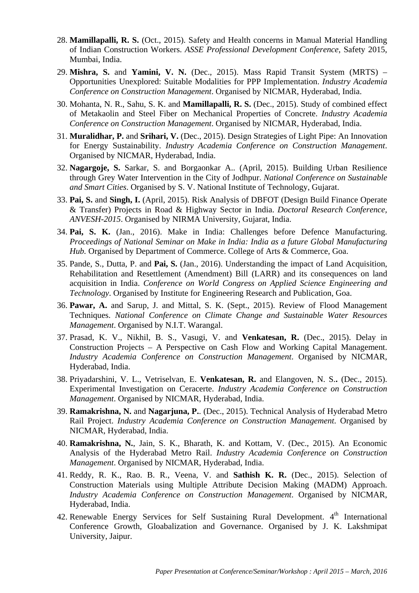- 28. **Mamillapalli, R. S.** (Oct., 2015). Safety and Health concerns in Manual Material Handling of Indian Construction Workers. *ASSE Professional Development Conference*, Safety 2015, Mumbai, India.
- 29. **Mishra, S.** and **Yamini, V. N.** (Dec., 2015). Mass Rapid Transit System (MRTS) Opportunities Unexplored: Suitable Modalities for PPP Implementation. *Industry Academia Conference on Construction Management*. Organised by NICMAR, Hyderabad, India.
- 30. Mohanta, N. R., Sahu, S. K. and **Mamillapalli, R. S.** (Dec., 2015). Study of combined effect of Metakaolin and Steel Fiber on Mechanical Properties of Concrete. *Industry Academia Conference on Construction Management*. Organised by NICMAR, Hyderabad, India.
- 31. **Muralidhar, P.** and **Srihari, V.** (Dec., 2015). Design Strategies of Light Pipe: An Innovation for Energy Sustainability. *Industry Academia Conference on Construction Management*. Organised by NICMAR, Hyderabad, India.
- 32. **Nagargoje, S.** Sarkar, S. and Borgaonkar A.. (April, 2015). Building Urban Resilience through Grey Water Intervention in the City of Jodhpur. *National Conference on Sustainable and Smart Cities*. Organised by S. V. National Institute of Technology, Gujarat.
- 33. **Pai, S.** and **Singh, I.** (April, 2015). Risk Analysis of DBFOT (Design Build Finance Operate & Transfer) Projects in Road & Highway Sector in India. *Doctoral Research Conference, ANVESH-2015*. Organised by NIRMA University, Gujarat, India.
- 34. **Pai, S. K.** (Jan., 2016). Make in India: Challenges before Defence Manufacturing. *Proceedings of National Seminar on Make in India: India as a future Global Manufacturing Hub.* Organised by Department of Commerce. College of Arts & Commerce, Goa.
- 35. Pande, S., Dutta, P. and **Pai, S.** (Jan., 2016). Understanding the impact of Land Acquisition, Rehabilitation and Resettlement (Amendment) Bill (LARR) and its consequences on land acquisition in India. *Conference on World Congress on Applied Science Engineering and Technology*. Organised by Institute for Engineering Research and Publication, Goa.
- 36. **Pawar, A.** and Sarup, J. and Mittal, S. K. (Sept., 2015). Review of Flood Management Techniques. *National Conference on Climate Change and Sustainable Water Resources Management*. Organised by N.I.T. Warangal.
- 37. Prasad, K. V., Nikhil, B. S., Vasugi, V. and **Venkatesan, R.** (Dec., 2015). Delay in Construction Projects – A Perspective on Cash Flow and Working Capital Management. *Industry Academia Conference on Construction Management*. Organised by NICMAR, Hyderabad, India.
- 38. Priyadarshini, V. L., Vetriselvan, E. **Venkatesan, R.** and Elangoven, N. S.**.** (Dec., 2015). Experimental Investigation on Ceracerte. *Industry Academia Conference on Construction Management*. Organised by NICMAR, Hyderabad, India.
- 39. **Ramakrishna, N.** and **Nagarjuna, P.**. (Dec., 2015). Technical Analysis of Hyderabad Metro Rail Project. *Industry Academia Conference on Construction Management*. Organised by NICMAR, Hyderabad, India.
- 40. **Ramakrishna, N.**, Jain, S. K., Bharath, K. and Kottam, V. (Dec., 2015). An Economic Analysis of the Hyderabad Metro Rail. *Industry Academia Conference on Construction Management*. Organised by NICMAR, Hyderabad, India.
- 41. Reddy, R. K., Rao. B. R., Veena, V. and **Sathish K. R.** (Dec., 2015). Selection of Construction Materials using Multiple Attribute Decision Making (MADM) Approach. *Industry Academia Conference on Construction Management*. Organised by NICMAR, Hyderabad, India.
- 42. Renewable Energy Services for Self Sustaining Rural Development. 4<sup>th</sup> International Conference Growth, Gloabalization and Governance. Organised by J. K. Lakshmipat University, Jaipur.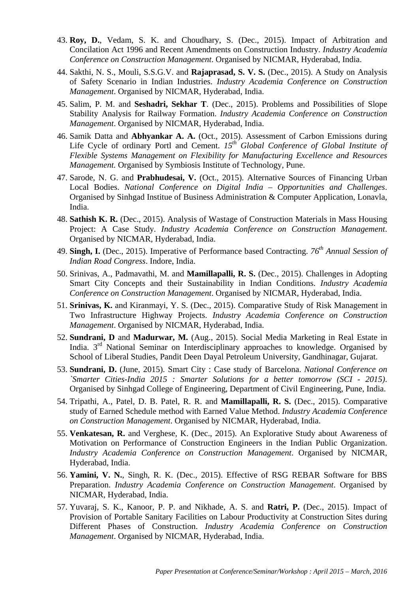- 43. **Roy, D.**, Vedam, S. K. and Choudhary, S. (Dec., 2015). Impact of Arbitration and Concilation Act 1996 and Recent Amendments on Construction Industry. *Industry Academia Conference on Construction Management*. Organised by NICMAR, Hyderabad, India.
- 44. Sakthi, N. S., Mouli, S.S.G.V. and **Rajaprasad, S. V. S.** (Dec., 2015). A Study on Analysis of Safety Scenario in Indian Industries. *Industry Academia Conference on Construction Management*. Organised by NICMAR, Hyderabad, India.
- 45. Salim, P. M. and **Seshadri, Sekhar T**. (Dec., 2015). Problems and Possibilities of Slope Stability Analysis for Railway Formation. *Industry Academia Conference on Construction Management*. Organised by NICMAR, Hyderabad, India.
- 46. Samik Datta and **Abhyankar A. A.** (Oct., 2015). Assessment of Carbon Emissions during Life Cycle of ordinary Portl and Cement.  $15<sup>th</sup>$  Global Conference of Global Institute of *Flexible Systems Management on Flexibility for Manufacturing Excellence and Resources Management.* Organised by Symbiosis Institute of Technology, Pune.
- 47. Sarode, N. G. and **Prabhudesai, V.** (Oct., 2015). Alternative Sources of Financing Urban Local Bodies. *National Conference on Digital India – Opportunities and Challenges*. Organised by Sinhgad Institue of Business Administration & Computer Application, Lonavla, India.
- 48. **Sathish K. R.** (Dec., 2015). Analysis of Wastage of Construction Materials in Mass Housing Project: A Case Study. *Industry Academia Conference on Construction Management*. Organised by NICMAR, Hyderabad, India.
- 49. **Singh, I.** (Dec., 2015). Imperative of Performance based Contracting. *76th Annual Session of Indian Road Congress*. Indore, India.
- 50. Srinivas, A., Padmavathi, M. and **Mamillapalli, R. S.** (Dec., 2015). Challenges in Adopting Smart City Concepts and their Sustainability in Indian Conditions. *Industry Academia Conference on Construction Management*. Organised by NICMAR, Hyderabad, India.
- 51. **Srinivas, K.** and Kiranmayi, Y. S. (Dec., 2015). Comparative Study of Risk Management in Two Infrastructure Highway Projects. *Industry Academia Conference on Construction Management*. Organised by NICMAR, Hyderabad, India.
- 52. **Sundrani, D** and **Madurwar, M.** (Aug., 2015). Social Media Marketing in Real Estate in India. 3<sup>rd</sup> National Seminar on Interdisciplinary approaches to knowledge. Organised by School of Liberal Studies, Pandit Deen Dayal Petroleum University, Gandhinagar, Gujarat.
- 53. **Sundrani, D.** (June, 2015). Smart City : Case study of Barcelona. *National Conference on `Smarter Cities-India 2015 : Smarter Solutions for a better tomorrow (SCI - 2015)*. Organised by Sinhgad College of Engineering, Department of Civil Engineering, Pune, India.
- 54. Tripathi, A., Patel, D. B. Patel, R. R. and **Mamillapalli, R. S.** (Dec., 2015). Comparative study of Earned Schedule method with Earned Value Method. *Industry Academia Conference on Construction Management*. Organised by NICMAR, Hyderabad, India.
- 55. **Venkatesan, R.** and Verghese, K. (Dec., 2015). An Explorative Study about Awareness of Motivation on Performance of Construction Engineers in the Indian Public Organization. *Industry Academia Conference on Construction Management*. Organised by NICMAR, Hyderabad, India.
- 56. **Yamini, V. N.**, Singh, R. K. (Dec., 2015). Effective of RSG REBAR Software for BBS Preparation. *Industry Academia Conference on Construction Management*. Organised by NICMAR, Hyderabad, India.
- 57. Yuvaraj, S. K., Kanoor, P. P. and Nikhade, A. S. and **Ratri, P.** (Dec., 2015). Impact of Provision of Portable Sanitary Facilities on Labour Productivity at Construction Sites during Different Phases of Construction. *Industry Academia Conference on Construction Management*. Organised by NICMAR, Hyderabad, India.